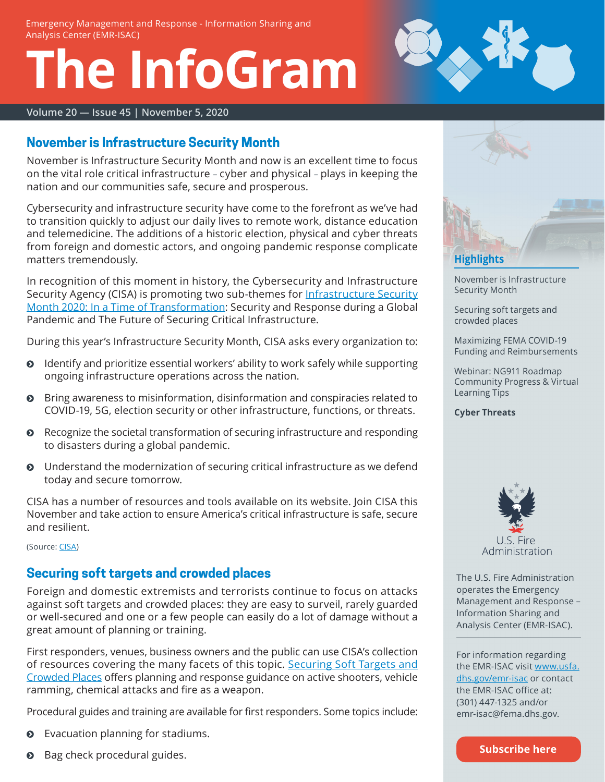# **The InfoGram**



#### **Volume 20 — Issue 45 | November 5, 2020**

#### <span id="page-0-0"></span>**November is Infrastructure Security Month**

November is Infrastructure Security Month and now is an excellent time to focus on the vital role critical infrastructure – cyber and physical – plays in keeping the nation and our communities safe, secure and prosperous.

Cybersecurity and infrastructure security have come to the forefront as we've had to transition quickly to adjust our daily lives to remote work, distance education and telemedicine. The additions of a historic election, physical and cyber threats from foreign and domestic actors, and ongoing pandemic response complicate matters tremendously.

In recognition of this moment in history, the Cybersecurity and Infrastructure Security Agency (CISA) is promoting two sub-themes for [Infrastructure Security](https://www.cisa.gov/ismonth)  [Month 2020: In a Time of Transformation:](https://www.cisa.gov/ismonth) Security and Response during a Global Pandemic and The Future of Securing Critical Infrastructure.

During this year's Infrastructure Security Month, CISA asks every organization to:

- ĵ Identify and prioritize essential workers' ability to work safely while supporting ongoing infrastructure operations across the nation.
- $\odot$  Bring awareness to misinformation, disinformation and conspiracies related to COVID-19, 5G, election security or other infrastructure, functions, or threats.
- $\odot$  Recognize the societal transformation of securing infrastructure and responding to disasters during a global pandemic.
- Understand the modernization of securing critical infrastructure as we defend today and secure tomorrow.

CISA has a number of resources and tools available on its website. Join CISA this November and take action to ensure America's critical infrastructure is safe, secure and resilient.

(Source: [CISA](https://www.cisa.gov/ismonth))

# <span id="page-0-1"></span>**Securing soft targets and crowded places**

Foreign and domestic extremists and terrorists continue to focus on attacks against soft targets and crowded places: they are easy to surveil, rarely guarded or well-secured and one or a few people can easily do a lot of damage without a great amount of planning or training.

First responders, venues, business owners and the public can use CISA's collection of resources covering the many facets of this topic. [Securing Soft Targets and](https://www.cisa.gov/securing-soft-targets-and-crowded-places) [Crowded Places](https://www.cisa.gov/securing-soft-targets-and-crowded-places) offers planning and response guidance on active shooters, vehicle ramming, chemical attacks and fire as a weapon.

Procedural guides and training are available for first responders. Some topics include:

- Evacuation planning for stadiums.
- Bag check procedural guides.



[November is Infrastructure](#page-0-0)  [Security Month](#page-0-0)

[Securing soft targets and](#page-0-1)  [crowded places](#page-0-1)

[Maximizing FEMA COVID-19](#page-1-0)  [Funding and Reimbursements](#page-1-0)

[Webinar: NG911 Roadmap](#page-1-1)  [Community Progress & Virtual](#page-1-1)  [Learning Tips](#page-1-1)

**[Cyber Threats](#page-2-0)**



The U.S. Fire Administration operates the Emergency Management and Response – Information Sharing and Analysis Center (EMR-ISAC).

For information regarding the EMR-ISAC visit [www.usfa.](https://www.usfa.dhs.gov/emr-isac) [dhs.gov/emr-isac](https://www.usfa.dhs.gov/emr-isac) or contact the EMR-ISAC office at: (301) 447-1325 and/or [emr-isac@fema.dhs.gov.](mailto:emr-isac%40fema.dhs.gov?subject=)

**[Subscribe here](https://public.govdelivery.com/accounts/USDHSFACIR/subscriber/new?pop=t&topic_id=USDHSFACIR_1)**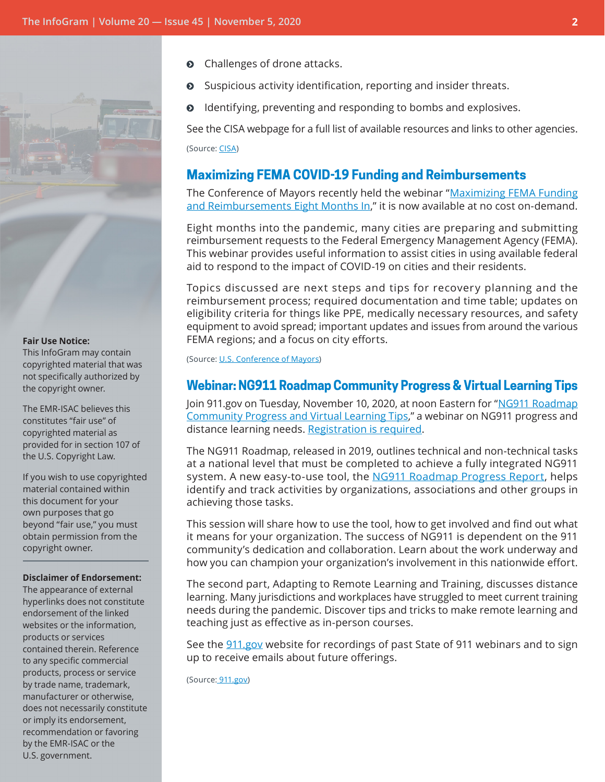

#### **Fair Use Notice:**

This InfoGram may contain copyrighted material that was not specifically authorized by the copyright owner.

The EMR-ISAC believes this constitutes "fair use" of copyrighted material as provided for in section 107 of the U.S. Copyright Law.

If you wish to use copyrighted material contained within this document for your own purposes that go beyond "fair use," you must obtain permission from the copyright owner.

#### **Disclaimer of Endorsement:**

The appearance of external hyperlinks does not constitute endorsement of the linked websites or the information, products or services contained therein. Reference to any specific commercial products, process or service by trade name, trademark, manufacturer or otherwise, does not necessarily constitute or imply its endorsement, recommendation or favoring by the EMR-ISAC or the U.S. government.

- Challenges of drone attacks.
- Suspicious activity identification, reporting and insider threats.
- $\odot$  Identifying, preventing and responding to bombs and explosives.

See the CISA webpage for a full list of available resources and links to other agencies.

(Source: [CISA](https://www.cisa.gov/securing-soft-targets-and-crowded-places))

#### <span id="page-1-0"></span>**Maximizing FEMA COVID-19 Funding and Reimbursements**

The Conference of Mayors recently held the webinar ["Maximizing FEMA Funding](https://usmayors.zoom.us/webinar/register/WN_bw9MT0DaSJWZL7IUwFcqCA) [and Reimbursements Eight Months In,](https://usmayors.zoom.us/webinar/register/WN_bw9MT0DaSJWZL7IUwFcqCA)" it is now available at no cost on-demand.

Eight months into the pandemic, many cities are preparing and submitting reimbursement requests to the Federal Emergency Management Agency (FEMA). This webinar provides useful information to assist cities in using available federal aid to respond to the impact of COVID-19 on cities and their residents.

Topics discussed are next steps and tips for recovery planning and the reimbursement process; required documentation and time table; updates on eligibility criteria for things like PPE, medically necessary resources, and safety equipment to avoid spread; important updates and issues from around the various FEMA regions; and a focus on city efforts.

(Source: [U.S. Conference of Mayors\)](https://usmayors.zoom.us/webinar/register/WN_bw9MT0DaSJWZL7IUwFcqCA)

#### <span id="page-1-1"></span>**Webinar: NG911 Roadmap Community Progress & Virtual Learning Tips**

Join 911.gov on Tuesday, November 10, 2020, at noon Eastern for "[NG911 Roadmap](https://www.911.gov/webinars.html)  [Community Progress and Virtual Learning Tips](https://www.911.gov/webinars.html)," a webinar on NG911 progress and distance learning needs. [Registration is required.](https://register.gotowebinar.com/register/8495593598854798605)

The NG911 Roadmap, released in 2019, outlines technical and non-technical tasks at a national level that must be completed to achieve a fully integrated NG911 system. A new easy-to-use tool, the [NG911 Roadmap Progress Report](https://www.911.gov/project_ng911roadmapprogress.html), helps identify and track activities by organizations, associations and other groups in achieving those tasks.

This session will share how to use the tool, how to get involved and find out what it means for your organization. The success of NG911 is dependent on the 911 community's dedication and collaboration. Learn about the work underway and how you can champion your organization's involvement in this nationwide effort.

The second part, Adapting to Remote Learning and Training, discusses distance learning. Many jurisdictions and workplaces have struggled to meet current training needs during the pandemic. Discover tips and tricks to make remote learning and teaching just as effective as in-person courses.

See the [911.gov](https://www.911.gov/webinars.html) website for recordings of past State of 911 webinars and to sign up to receive emails about future offerings.

(Source: [911.gov\)](https://register.gotowebinar.com/register/8495593598854798605)